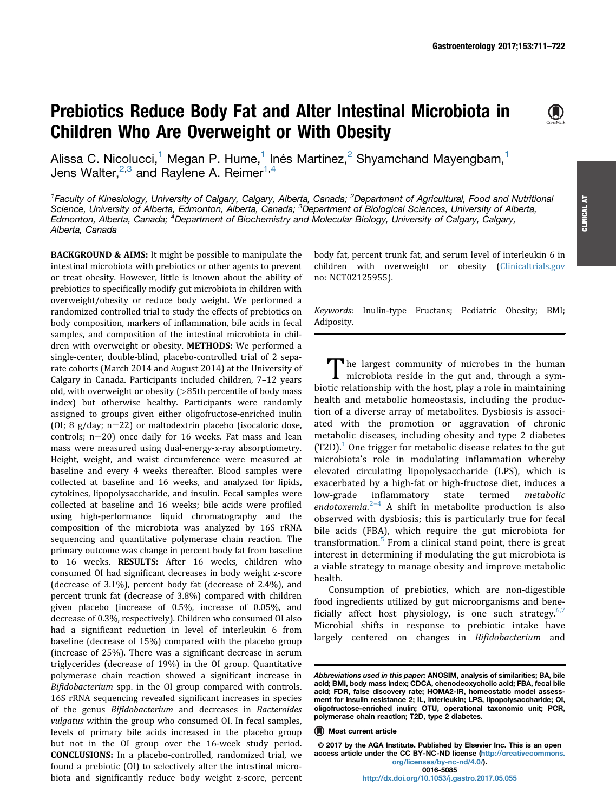# Prebiotics Reduce Body Fat and Alter Intestinal Microbiota in Children Who Are Overweight or With Obesity



<sup>1</sup>Faculty of Kinesiology, University of Calgary, Calgary, Alberta, Canada; <sup>2</sup>Department of Agricultural, Food and Nutritional Science, University of Alberta, Edmonton, Alberta, Canada; <sup>3</sup>Department of Biological Sciences, University of Alberta, Edmonton, Alberta, Canada; <sup>4</sup>Department of Biochemistry and Molecular Biology, University of Calgary, Calgary, Alberta, Canada

BACKGROUND & AIMS: It might be possible to manipulate the intestinal microbiota with prebiotics or other agents to prevent or treat obesity. However, little is known about the ability of prebiotics to specifically modify gut microbiota in children with overweight/obesity or reduce body weight. We performed a randomized controlled trial to study the effects of prebiotics on body composition, markers of inflammation, bile acids in fecal samples, and composition of the intestinal microbiota in children with overweight or obesity. METHODS: We performed a single-center, double-blind, placebo-controlled trial of 2 separate cohorts (March 2014 and August 2014) at the University of Calgary in Canada. Participants included children, 7–12 years old, with overweight or obesity (>85th percentile of body mass index) but otherwise healthy. Participants were randomly assigned to groups given either oligofructose-enriched inulin (OI; 8 g/day;  $n=22$ ) or maltodextrin placebo (isocaloric dose, controls;  $n=20$ ) once daily for 16 weeks. Fat mass and lean mass were measured using dual-energy-x-ray absorptiometry. Height, weight, and waist circumference were measured at baseline and every 4 weeks thereafter. Blood samples were collected at baseline and 16 weeks, and analyzed for lipids, cytokines, lipopolysaccharide, and insulin. Fecal samples were collected at baseline and 16 weeks; bile acids were profiled using high-performance liquid chromatography and the composition of the microbiota was analyzed by 16S rRNA sequencing and quantitative polymerase chain reaction. The primary outcome was change in percent body fat from baseline to 16 weeks. RESULTS: After 16 weeks, children who consumed OI had significant decreases in body weight z-score (decrease of 3.1%), percent body fat (decrease of 2.4%), and percent trunk fat (decrease of 3.8%) compared with children given placebo (increase of 0.5%, increase of 0.05%, and decrease of 0.3%, respectively). Children who consumed OI also had a significant reduction in level of interleukin 6 from baseline (decrease of 15%) compared with the placebo group (increase of 25%). There was a significant decrease in serum triglycerides (decrease of 19%) in the OI group. Quantitative polymerase chain reaction showed a significant increase in Bifidobacterium spp. in the OI group compared with controls. 16S rRNA sequencing revealed significant increases in species of the genus Bifidobacterium and decreases in Bacteroides vulgatus within the group who consumed OI. In fecal samples, levels of primary bile acids increased in the placebo group but not in the OI group over the 16-week study period. CONCLUSIONS: In a placebo-controlled, randomized trial, we found a prebiotic (OI) to selectively alter the intestinal microbiota and significantly reduce body weight z-score, percent

body fat, percent trunk fat, and serum level of interleukin 6 in children with overweight or obesity [\(Clinicaltrials.gov](http://Clinicaltrials.gov) no: NCT02125955).

Keywords: Inulin-type Fructans; Pediatric Obesity; BMI; Adiposity.

The largest community of microbes in the human microbiota reside in the gut and, through a symbiotic relationship with the host, play a role in maintaining health and metabolic homeostasis, including the production of a diverse array of metabolites. Dysbiosis is associated with the promotion or aggravation of chronic metabolic diseases, including obesity and type 2 diabetes  $(T2D).<sup>1</sup>$  $(T2D).<sup>1</sup>$  $(T2D).<sup>1</sup>$  One trigger for metabolic disease relates to the gut microbiota's role in modulating inflammation whereby elevated circulating lipopolysaccharide (LPS), which is exacerbated by a high-fat or high-fructose diet, induces a low-grade inflammatory state termed metabolic endotoxemia. $2^{-4}$  $2^{-4}$  $2^{-4}$  $2^{-4}$  A shift in metabolite production is also observed with dysbiosis; this is particularly true for fecal bile acids (FBA), which require the gut microbiota for transformation.<sup>[5](#page-9-0)</sup> From a clinical stand point, there is great interest in determining if modulating the gut microbiota is a viable strategy to manage obesity and improve metabolic health.

Consumption of prebiotics, which are non-digestible food ingredients utilized by gut microorganisms and bene-ficially affect host physiology, is one such strategy.<sup>[6,7](#page-9-0)</sup> Microbial shifts in response to prebiotic intake have largely centered on changes in Bifidobacterium and

© 2017 by the AGA Institute. Published by Elsevier Inc. This is an open access article under the CC BY-NC-ND license ([http://creativecommons.](http://creativecommons.org/licenses/by-nc-nd/4.0/) [org/licenses/by-nc-nd/4.0/\)](http://creativecommons.org/licenses/by-nc-nd/4.0/).

 $\bigcirc$ 

CLINICAL AT

**CLINICAL AT** 

Abbreviations used in this paper: ANOSIM, analysis of similarities; BA, bile acid; BMI, body mass index; CDCA, chenodeoxycholic acid; FBA, fecal bile acid; FDR, false discovery rate; HOMA2-IR, homeostatic model assessment for insulin resistance 2; IL, interleukin; LPS, lipopolysaccharide; OI, oligofructose-enriched inulin; OTU, operational taxonomic unit; PCR, polymerase chain reaction; T2D, type 2 diabetes.

**<sup>(</sup>A)** Most current article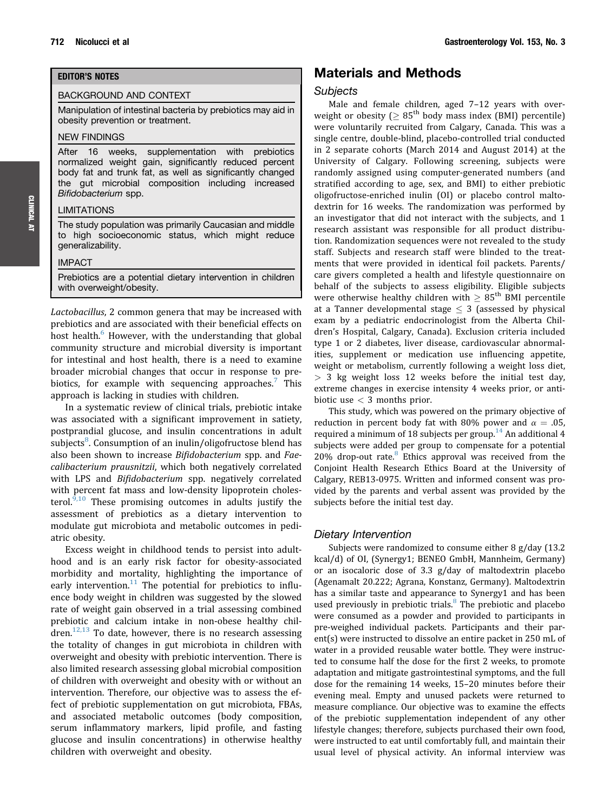### EDITOR'S NOTES

#### BACKGROUND AND CONTEXT

Manipulation of intestinal bacteria by prebiotics may aid in obesity prevention or treatment.

#### NEW FINDINGS

After 16 weeks, supplementation with prebiotics normalized weight gain, significantly reduced percent body fat and trunk fat, as well as significantly changed the gut microbial composition including increased Bifidobacterium spp.

#### LIMITATIONS

The study population was primarily Caucasian and middle to high socioeconomic status, which might reduce generalizability.

#### IMPACT

Prebiotics are a potential dietary intervention in children with overweight/obesity.

Lactobacillus, 2 common genera that may be increased with prebiotics and are associated with their beneficial effects on host health.<sup>[6](#page-9-0)</sup> However, with the understanding that global community structure and microbial diversity is important for intestinal and host health, there is a need to examine broader microbial changes that occur in response to pre-biotics, for example with sequencing approaches.<sup>[7](#page-9-0)</sup> This approach is lacking in studies with children.

In a systematic review of clinical trials, prebiotic intake was associated with a significant improvement in satiety, postprandial glucose, and insulin concentrations in adult subjects<sup>[8](#page-9-0)</sup>. Consumption of an inulin/oligofructose blend has also been shown to increase Bifidobacterium spp. and Faecalibacterium prausnitzii, which both negatively correlated with LPS and Bifidobacterium spp. negatively correlated with percent fat mass and low-density lipoprotein cholesterol. $9,10$  These promising outcomes in adults justify the assessment of prebiotics as a dietary intervention to modulate gut microbiota and metabolic outcomes in pediatric obesity.

Excess weight in childhood tends to persist into adulthood and is an early risk factor for obesity-associated morbidity and mortality, highlighting the importance of early intervention. $11$  The potential for prebiotics to influence body weight in children was suggested by the slowed rate of weight gain observed in a trial assessing combined prebiotic and calcium intake in non-obese healthy chil $d$ ren.<sup>[12,13](#page-9-0)</sup> To date, however, there is no research assessing the totality of changes in gut microbiota in children with overweight and obesity with prebiotic intervention. There is also limited research assessing global microbial composition of children with overweight and obesity with or without an intervention. Therefore, our objective was to assess the effect of prebiotic supplementation on gut microbiota, FBAs, and associated metabolic outcomes (body composition, serum inflammatory markers, lipid profile, and fasting glucose and insulin concentrations) in otherwise healthy children with overweight and obesity.

### Materials and Methods

#### Subjects

Male and female children, aged 7–12 years with overweight or obesity ( $\geq 85^{\text{th}}$  body mass index (BMI) percentile) were voluntarily recruited from Calgary, Canada. This was a single centre, double-blind, placebo-controlled trial conducted in 2 separate cohorts (March 2014 and August 2014) at the University of Calgary. Following screening, subjects were randomly assigned using computer-generated numbers (and stratified according to age, sex, and BMI) to either prebiotic oligofructose-enriched inulin (OI) or placebo control maltodextrin for 16 weeks. The randomization was performed by an investigator that did not interact with the subjects, and 1 research assistant was responsible for all product distribution. Randomization sequences were not revealed to the study staff. Subjects and research staff were blinded to the treatments that were provided in identical foil packets. Parents/ care givers completed a health and lifestyle questionnaire on behalf of the subjects to assess eligibility. Eligible subjects were otherwise healthy children with  $\geq 85^{\text{th}}$  BMI percentile at a Tanner developmental stage  $\leq$  3 (assessed by physical exam by a pediatric endocrinologist from the Alberta Children's Hospital, Calgary, Canada). Exclusion criteria included type 1 or 2 diabetes, liver disease, cardiovascular abnormalities, supplement or medication use influencing appetite, weight or metabolism, currently following a weight loss diet,  $> 3$  kg weight loss 12 weeks before the initial test day, extreme changes in exercise intensity 4 weeks prior, or antibiotic use < 3 months prior.

This study, which was powered on the primary objective of reduction in percent body fat with 80% power and  $\alpha = .05$ . required a minimum of 18 subjects per group.<sup>[14](#page-9-0)</sup> An additional 4 subjects were added per group to compensate for a potential 20% drop-out rate.<sup>[8](#page-9-0)</sup> Ethics approval was received from the Conjoint Health Research Ethics Board at the University of Calgary, REB13-0975. Written and informed consent was provided by the parents and verbal assent was provided by the subjects before the initial test day.

### Dietary Intervention

Subjects were randomized to consume either 8 g/day (13.2 kcal/d) of OI, (Synergy1; BENEO GmbH, Mannheim, Germany) or an isocaloric dose of 3.3 g/day of maltodextrin placebo (Agenamalt 20.222; Agrana, Konstanz, Germany). Maltodextrin has a similar taste and appearance to Synergy1 and has been used previously in prebiotic trials.<sup>[8](#page-9-0)</sup> The prebiotic and placebo were consumed as a powder and provided to participants in pre-weighed individual packets. Participants and their parent(s) were instructed to dissolve an entire packet in 250 mL of water in a provided reusable water bottle. They were instructed to consume half the dose for the first 2 weeks, to promote adaptation and mitigate gastrointestinal symptoms, and the full dose for the remaining 14 weeks, 15–20 minutes before their evening meal. Empty and unused packets were returned to measure compliance. Our objective was to examine the effects of the prebiotic supplementation independent of any other lifestyle changes; therefore, subjects purchased their own food, were instructed to eat until comfortably full, and maintain their usual level of physical activity. An informal interview was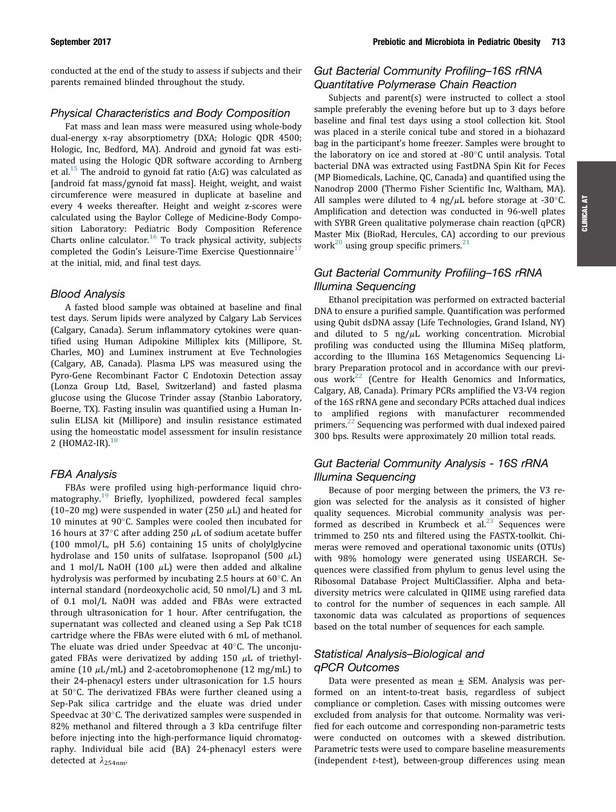conducted at the end of the study to assess if subjects and their parents remained blinded throughout the study.

### Physical Characteristics and Body Composition

Fat mass and lean mass were measured using whole-body dual-energy x-ray absorptiometry (DXA; Hologic QDR 4500; Hologic, Inc, Bedford, MA). Android and gynoid fat was estimated using the Hologic QDR software according to Arnberg et al.<sup>[15](#page-9-0)</sup> The android to gynoid fat ratio  $(A:G)$  was calculated as [android fat mass/gynoid fat mass]. Height, weight, and waist circumference were measured in duplicate at baseline and every 4 weeks thereafter. Height and weight z-scores were calculated using the Baylor College of Medicine-Body Composition Laboratory: Pediatric Body Composition Reference Charts online calculator.<sup>[16](#page-9-0)</sup> To track physical activity, subjects completed the Godin's Leisure-Time Exercise Questionnaire<sup>[17](#page-9-0)</sup> at the initial, mid, and final test days.

#### Blood Analysis

A fasted blood sample was obtained at baseline and final test days. Serum lipids were analyzed by Calgary Lab Services (Calgary, Canada). Serum inflammatory cytokines were quantified using Human Adipokine Milliplex kits (Millipore, St. Charles, MO) and Luminex instrument at Eve Technologies (Calgary, AB, Canada). Plasma LPS was measured using the Pyro-Gene Recombinant Factor C Endotoxin Detection assay (Lonza Group Ltd, Basel, Switzerland) and fasted plasma glucose using the Glucose Trinder assay (Stanbio Laboratory, Boerne, TX). Fasting insulin was quantified using a Human Insulin ELISA kit (Millipore) and insulin resistance estimated using the homeostatic model assessment for insulin resistance 2 (HOMA2-IR).<sup>[18](#page-9-0)</sup>

### FBA Analysis

FBAs were profiled using high-performance liquid chro-matography.<sup>[19](#page-9-0)</sup> Briefly, lyophilized, powdered fecal samples (10-20 mg) were suspended in water (250  $\mu$ L) and heated for 10 minutes at 90 $^{\circ}$ C. Samples were cooled then incubated for 16 hours at 37 $\degree$ C after adding 250  $\mu$ L of sodium acetate buffer (100 mmol/L, pH 5.6) containing 15 units of cholylglycine hydrolase and 150 units of sulfatase. Isopropanol (500  $\mu$ L) and 1 mol/L NaOH (100  $\mu$ L) were then added and alkaline hydrolysis was performed by incubating 2.5 hours at  $60^{\circ}$ C. An internal standard (nordeoxycholic acid, 50 nmol/L) and 3 mL of 0.1 mol/L NaOH was added and FBAs were extracted through ultrasonication for 1 hour. After centrifugation, the supernatant was collected and cleaned using a Sep Pak tC18 cartridge where the FBAs were eluted with 6 mL of methanol. The eluate was dried under Speedvac at  $40^{\circ}$ C. The unconjugated FBAs were derivatized by adding 150  $\mu$ L of triethylamine (10  $\mu$ L/mL) and 2-acetobromophenone (12 mg/mL) to their 24-phenacyl esters under ultrasonication for 1.5 hours at  $50^{\circ}$ C. The derivatized FBAs were further cleaned using a Sep-Pak silica cartridge and the eluate was dried under Speedvac at  $30^{\circ}$ C. The derivatized samples were suspended in 82% methanol and filtered through a 3 kDa centrifuge filter before injecting into the high-performance liquid chromatography. Individual bile acid (BA) 24-phenacyl esters were detected at  $\lambda_{254nm}$ .

### Gut Bacterial Community Profiling–16S rRNA Quantitative Polymerase Chain Reaction

Subjects and parent(s) were instructed to collect a stool sample preferably the evening before but up to 3 days before baseline and final test days using a stool collection kit. Stool was placed in a sterile conical tube and stored in a biohazard bag in the participant's home freezer. Samples were brought to the laboratory on ice and stored at  $-80^{\circ}$ C until analysis. Total bacterial DNA was extracted using FastDNA Spin Kit for Feces (MP Biomedicals, Lachine, QC, Canada) and quantified using the Nanodrop 2000 (Thermo Fisher Scientific Inc, Waltham, MA). All samples were diluted to 4 ng/ $\mu$ L before storage at -30 $\degree$ C. Amplification and detection was conducted in 96-well plates with SYBR Green qualitative polymerase chain reaction (qPCR) Master Mix (BioRad, Hercules, CA) according to our previous work<sup>[20](#page-9-0)</sup> using group specific primers.<sup>[21](#page-9-0)</sup>

# Gut Bacterial Community Profiling–16S rRNA Illumina Sequencing

Ethanol precipitation was performed on extracted bacterial DNA to ensure a purified sample. Quantification was performed using Qubit dsDNA assay (Life Technologies, Grand Island, NY) and diluted to 5  $\frac{mg}{\mu}$  working concentration. Microbial profiling was conducted using the Illumina MiSeq platform, according to the Illumina 16S Metagenomics Sequencing Library Preparation protocol and in accordance with our previous work $^{22}$  $^{22}$  $^{22}$  (Centre for Health Genomics and Informatics, Calgary, AB, Canada). Primary PCRs amplified the V3-V4 region of the 16S rRNA gene and secondary PCRs attached dual indices to amplified regions with manufacturer recommended primers.<sup>[22](#page-9-0)</sup> Sequencing was performed with dual indexed paired 300 bps. Results were approximately 20 million total reads.

### Gut Bacterial Community Analysis - 16S rRNA Illumina Sequencing

Because of poor merging between the primers, the V3 region was selected for the analysis as it consisted of higher quality sequences. Microbial community analysis was performed as described in Krumbeck et al. $^{23}$  $^{23}$  $^{23}$  Sequences were trimmed to 250 nts and filtered using the FASTX-toolkit. Chimeras were removed and operational taxonomic units (OTUs) with 98% homology were generated using USEARCH. Sequences were classified from phylum to genus level using the Ribosomal Database Project MultiClassifier. Alpha and betadiversity metrics were calculated in QIIME using rarefied data to control for the number of sequences in each sample. All taxonomic data was calculated as proportions of sequences based on the total number of sequences for each sample.

### Statistical Analysis–Biological and qPCR Outcomes

Data were presented as mean  $\pm$  SEM. Analysis was performed on an intent-to-treat basis, regardless of subject compliance or completion. Cases with missing outcomes were excluded from analysis for that outcome. Normality was verified for each outcome and corresponding non-parametric tests were conducted on outcomes with a skewed distribution. Parametric tests were used to compare baseline measurements (independent  $t$ -test), between-group differences using mean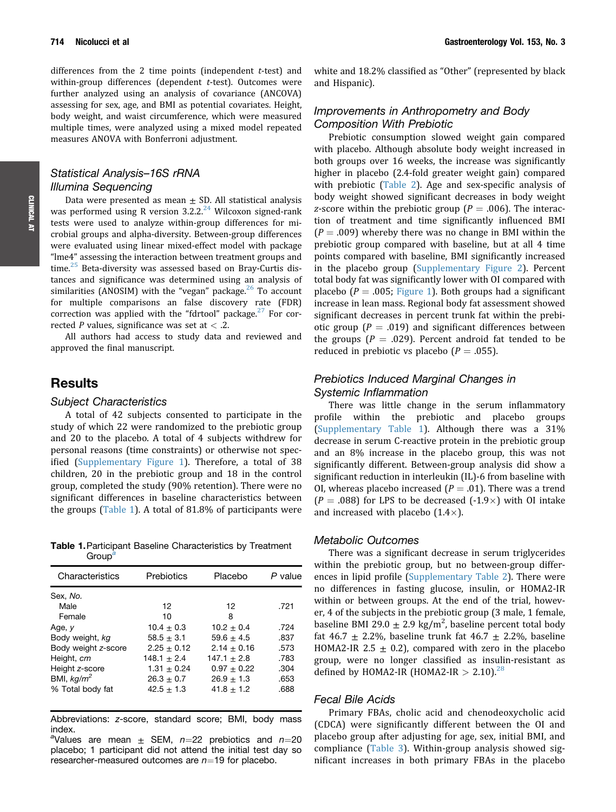differences from the 2 time points (independent  $t$ -test) and within-group differences (dependent  $t$ -test). Outcomes were further analyzed using an analysis of covariance (ANCOVA) assessing for sex, age, and BMI as potential covariates. Height, body weight, and waist circumference, which were measured multiple times, were analyzed using a mixed model repeated measures ANOVA with Bonferroni adjustment.

### Statistical Analysis–16S rRNA Illumina Sequencing

Data were presented as mean  $\pm$  SD. All statistical analysis was performed using R version  $3.2.2<sup>24</sup>$  $3.2.2<sup>24</sup>$  $3.2.2<sup>24</sup>$  Wilcoxon signed-rank tests were used to analyze within-group differences for microbial groups and alpha-diversity. Between-group differences were evaluated using linear mixed-effect model with package "lme4" assessing the interaction between treatment groups and time. $25$  Beta-diversity was assessed based on Bray-Curtis distances and significance was determined using an analysis of similarities (ANOSIM) with the "vegan" package.<sup>[26](#page-10-0)</sup> To account for multiple comparisons an false discovery rate (FDR) correction was applied with the "fdrtool" package. $27$  For corrected P values, significance was set at  $<$  .2.

All authors had access to study data and reviewed and approved the final manuscript.

# **Results**

#### Subject Characteristics

A total of 42 subjects consented to participate in the study of which 22 were randomized to the prebiotic group and 20 to the placebo. A total of 4 subjects withdrew for personal reasons (time constraints) or otherwise not specified (Supplementary Figure 1). Therefore, a total of 38 children, 20 in the prebiotic group and 18 in the control group, completed the study (90% retention). There were no significant differences in baseline characteristics between the groups (Table 1). A total of 81.8% of participants were

Table 1.Participant Baseline Characteristics by Treatment Group<sup>a</sup>

| Characteristics     | Prebiotics      | Placebo        | P value |
|---------------------|-----------------|----------------|---------|
| Sex, No.            |                 |                |         |
| Male                | 12              | 12             | .721    |
| Female              | 10              | 8              |         |
| Age, y              | $10.4 + 0.3$    | $10.2 + 0.4$   | .724    |
| Body weight, kg     | $58.5 + 3.1$    | 59.6 $\pm$ 4.5 | .837    |
| Body weight z-score | $2.25 + 0.12$   | $2.14 + 0.16$  | .573    |
| Height, cm          | $148.1 + 2.4$   | $147.1 + 2.8$  | .783    |
| Height z-score      | $1.31 \pm 0.24$ | $0.97 + 0.22$  | .304    |
| BMI, $kq/m^2$       | $26.3 \pm 0.7$  | $26.9 + 1.3$   | .653    |
| % Total body fat    | $42.5 + 1.3$    | $41.8 \pm 1.2$ | .688    |
|                     |                 |                |         |

Abbreviations: z-score, standard score; BMI, body mass index.

<sup>a</sup>Values are mean  $\pm$  SEM, n=22 prebiotics and n=20 placebo; 1 participant did not attend the initial test day so researcher-measured outcomes are  $n=19$  for placebo.

white and 18.2% classified as "Other" (represented by black and Hispanic).

### Improvements in Anthropometry and Body Composition With Prebiotic

Prebiotic consumption slowed weight gain compared with placebo. Although absolute body weight increased in both groups over 16 weeks, the increase was significantly higher in placebo (2.4-fold greater weight gain) compared with prebiotic ([Table 2](#page-4-0)). Age and sex-specific analysis of body weight showed significant decreases in body weight z-score within the prebiotic group ( $P = .006$ ). The interaction of treatment and time significantly influenced BMI  $(P = .009)$  whereby there was no change in BMI within the prebiotic group compared with baseline, but at all 4 time points compared with baseline, BMI significantly increased in the placebo group (Supplementary Figure 2). Percent total body fat was significantly lower with OI compared with placebo ( $P = .005$ ; [Figure 1\)](#page-5-0). Both groups had a significant increase in lean mass. Regional body fat assessment showed significant decreases in percent trunk fat within the prebiotic group ( $P = .019$ ) and significant differences between the groups ( $P = .029$ ). Percent android fat tended to be reduced in prebiotic vs placebo ( $P = .055$ ).

### Prebiotics Induced Marginal Changes in Systemic Inflammation

There was little change in the serum inflammatory profile within the prebiotic and placebo groups (Supplementary Table 1). Although there was a 31% decrease in serum C-reactive protein in the prebiotic group and an 8% increase in the placebo group, this was not significantly different. Between-group analysis did show a significant reduction in interleukin (IL)-6 from baseline with OI, whereas placebo increased ( $P = .01$ ). There was a trend  $(P = .088)$  for LPS to be decreased  $(-1.9\times)$  with OI intake and increased with placebo  $(1.4\times)$ .

### Metabolic Outcomes

There was a significant decrease in serum triglycerides within the prebiotic group, but no between-group differences in lipid profile (Supplementary Table 2). There were no differences in fasting glucose, insulin, or HOMA2-IR within or between groups. At the end of the trial, however, 4 of the subjects in the prebiotic group (3 male, 1 female, baseline BMI 29.0  $\pm$  2.9 kg/m<sup>2</sup>, baseline percent total body fat 46.7  $\pm$  2.2%, baseline trunk fat 46.7  $\pm$  2.2%, baseline HOMA2-IR 2.5  $\pm$  0.2), compared with zero in the placebo group, were no longer classified as insulin-resistant as defined by HOMA2-IR (HOMA2-IR  $> 2.10$ ).<sup>[28](#page-10-0)</sup>

### Fecal Bile Acids

Primary FBAs, cholic acid and chenodeoxycholic acid (CDCA) were significantly different between the OI and placebo group after adjusting for age, sex, initial BMI, and compliance [\(Table 3](#page-5-0)). Within-group analysis showed significant increases in both primary FBAs in the placebo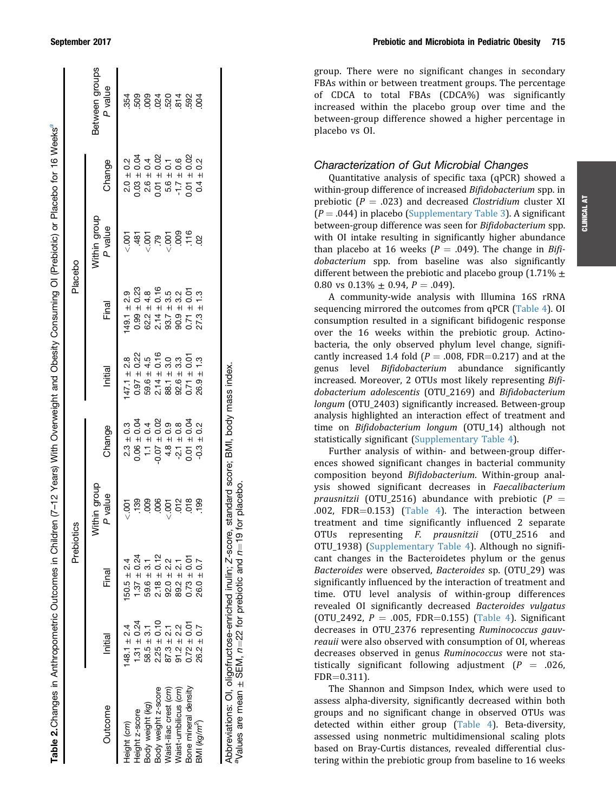| Table 2.Changes in Anthropometric Outcomes in Children (7-12 Years) With Overweight and Obesity Consuming Ol (Prebiotic) or Placebo for 16 Weeks <sup>a</sup> |                 |                               |                              |                                   |                                   |                                   |                         |                                 |                                                                 |
|---------------------------------------------------------------------------------------------------------------------------------------------------------------|-----------------|-------------------------------|------------------------------|-----------------------------------|-----------------------------------|-----------------------------------|-------------------------|---------------------------------|-----------------------------------------------------------------|
|                                                                                                                                                               |                 |                               | Prebiotics                   |                                   |                                   | Placebo                           |                         |                                 |                                                                 |
| Outcome                                                                                                                                                       | Initial         | Final                         | lithin group<br>P value<br>ξ | Change                            | Initial                           | Final                             | Within group<br>P value | Change                          | Between groups<br>P value                                       |
| Height (cm)                                                                                                                                                   | $148.1 \pm 2.4$ | $50.5 \pm 2.4$                | $-001$                       | $2.3 \pm 0.3$                     | $47.1 \pm 2.8$                    | $49.1 \pm 2.9$                    | $\frac{5}{2}$           | $2.0 \pm 0.2$                   |                                                                 |
| Height z-score                                                                                                                                                | $1.31 \pm 0.24$ | $1.37 \pm 0.24$               | <b>139</b>                   | $0.06 \pm 0.04$                   | $0.97 \pm 0.22$                   | $0.99 \pm 0.23$                   | .481                    | $0.03 \pm 0.04$                 |                                                                 |
| Body weight (kg)                                                                                                                                              | $58.5 \pm 3.1$  | $59.6 \pm 3.1$                | 009                          | $\pm 0.4$<br>$\frac{1}{\sqrt{2}}$ | $59.6 \pm 4.5$                    | $62.2 \pm 4.8$                    | $-007$                  | $2.6 \pm 0.4$                   | ង់ កូ <u>ទី ទី កូ ឆ្ ធំ ទី ទី</u><br>ភូ ទី ទី ភី ខី ភី ខី ទី ទី |
| Body weight z-score                                                                                                                                           | $2.25 \pm 0.10$ |                               | .006                         | $0.07 \pm 0.02$                   | $2.14 \pm 0.16$<br>88.1 $\pm$ 3.0 | $2.14 \pm 0.16$<br>93.7 $\pm$ 3.5 | .79                     | $0.01 \pm 0.02$                 |                                                                 |
| Waist-iliac crest (cm)                                                                                                                                        | $87.3 \pm 2.1$  | $2.18 \pm 0.12$<br>92.0 ± 2.2 | .001                         | $\pm 0.9$<br>4.8                  |                                   |                                   | $-007$                  | $5.6 \pm 0.1$<br>-1.7 $\pm$ 0.6 |                                                                 |
| Waist-umbilicus (cm)                                                                                                                                          | $91.2 \pm 2.2$  | $89.2 \pm 2.1$                | $\frac{2}{5}$ $\frac{8}{5}$  | $-2.1 \pm 0.8$                    | $92.6 \pm 3.3$                    | $90.9 + 3.2$                      | 800                     |                                 |                                                                 |
| Bone mineral density                                                                                                                                          | $0.72 \pm 0.01$ | $0.73 \pm 0.01$               |                              | $0.01 \pm 0.04$                   | $0.71 \pm 0.01$                   | ± 0.01<br>0.71                    | .116                    | $0.01 \pm 0.02$                 |                                                                 |
| BMI (kg/ $m^2$ )                                                                                                                                              | $26.2 \pm 0.7$  | $26.0 + 0.7$                  | <b>199</b>                   | $\pm 0.2$<br>$-0.3$               | $26.9 \pm 1.3$                    | $\pm 1.3$<br>27.3                 | 8                       | $0.4 \pm 0.2$                   |                                                                 |
|                                                                                                                                                               |                 |                               |                              |                                   |                                   |                                   |                         |                                 |                                                                 |

Abbreviations: OI, oligofructose-enriched inulin;

± SEM,

n

=22 for prebiotic and

n

 $=$ 19 for placebo.

aValues are mean

Z-score, standard score; BMI, body mass index.

<span id="page-4-0"></span>September 2017 **Prebiotic and Microbiota in Pediatric Obesity** 715

group. There were no significant changes in secondary FBAs within or between treatment groups. The percentage of CDCA to total FBAs (CDCA%) was significantly increased within the placebo group over time and the between-group difference showed a higher percentage in placebo vs OI.

### Characterization of Gut Microbial Changes

Quantitative analysis of specific taxa (qPCR) showed a within-group difference of increased Bifidobacterium spp. in prebiotic ( $P = .023$ ) and decreased *Clostridium* cluster XI  $(P = .044)$  in placebo (Supplementary Table 3). A significant between-group difference was seen for Bifidobacterium spp. with OI intake resulting in significantly higher abundance than placebo at 16 weeks ( $P = .049$ ). The change in Bifidobacterium spp. from baseline was also significantly different between the prebiotic and placebo group (1.71%  $\pm$ 0.80 vs  $0.13\% \pm 0.94$ ,  $P = .049$ .

A community-wide analysis with Illumina 16S rRNA sequencing mirrored the outcomes from qPCR [\(Table 4\)](#page-6-0). OI consumption resulted in a significant bifidogenic response over the 16 weeks within the prebiotic group. Actinobacteria, the only observed phylum level change, significantly increased 1.4 fold ( $P = .008$ , FDR=0.217) and at the genus level Bifidobacterium abundance significantly increased. Moreover, 2 OTUs most likely representing Bifidobacterium adolescentis (OTU\_2169) and Bifidobacterium longum (OTU\_2403) significantly increased. Between-group analysis highlighted an interaction effect of treatment and time on Bifidobacterium longum (OTU\_14) although not statistically significant (Supplementary Table 4).

Further analysis of within- and between-group differences showed significant changes in bacterial community composition beyond Bifidobacterium. Within-group analysis showed significant decreases in Faecalibacterium prausnitzii (OTU\_2516) abundance with prebiotic ( $P =$ .002, FDR $=0.153$ ) ([Table 4](#page-6-0)). The interaction between treatment and time significantly influenced 2 separate OTUs representing F. prausnitzii (OTU\_2516 and OTU\_1938) (Supplementary Table 4). Although no significant changes in the Bacteroidetes phylum or the genus Bacteroides were observed, Bacteroides sp. (OTU\_29) was significantly influenced by the interaction of treatment and time. OTU level analysis of within-group differences revealed OI significantly decreased Bacteroides vulgatus (OTU\_2492,  $P = .005$ , FDR=0.155) [\(Table 4](#page-6-0)). Significant decreases in OTU\_2376 representing Ruminococcus gauvreauii were also observed with consumption of OI, whereas decreases observed in genus Ruminococcus were not statistically significant following adjustment ( $P = .026$ ,  $FDR = 0.311$ .

The Shannon and Simpson Index, which were used to assess alpha-diversity, significantly decreased within both groups and no significant change in observed OTUs was detected within either group ([Table 4\)](#page-6-0). Beta-diversity, assessed using nonmetric multidimensional scaling plots based on Bray-Curtis distances, revealed differential clustering within the prebiotic group from baseline to 16 weeks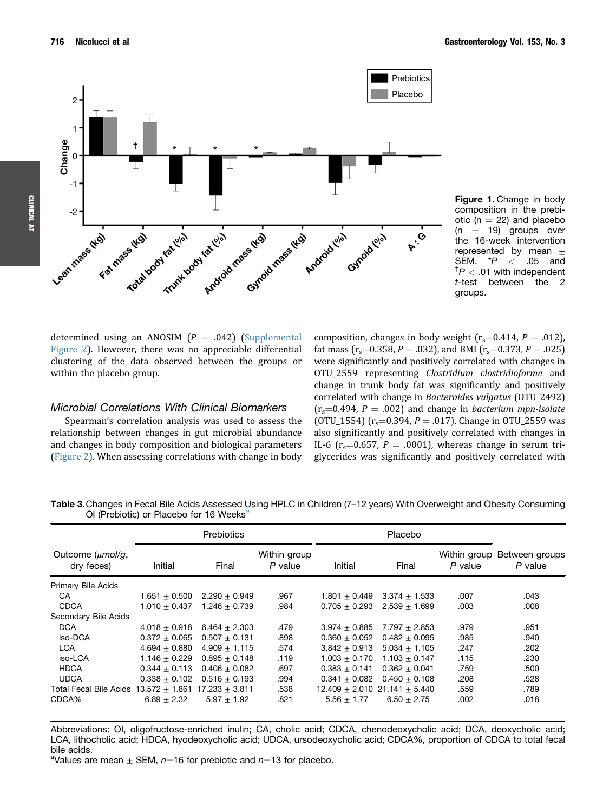<span id="page-5-0"></span>

Figure 1. Change in body composition in the prebiotic ( $n = 22$ ) and placebo  $(n = 19)$  groups over the 16-week intervention represented by mean  $\pm$ SEM.  $*P < .05$  and  $\bar{f}P < .01$  with independent t-test between the 2 groups.

determined using an ANOSIM  $(P = .042)$  (Supplemental Figure 2). However, there was no appreciable differential clustering of the data observed between the groups or within the placebo group.

#### Microbial Correlations With Clinical Biomarkers

Spearman's correlation analysis was used to assess the relationship between changes in gut microbial abundance and changes in body composition and biological parameters [\(Figure 2\)](#page-7-0). When assessing correlations with change in body

composition, changes in body weight  $(r_s=0.414, P = .012)$ , fat mass ( $r_s$ =0.358, P = .032), and BMI ( $r_s$ =0.373, P = .025) were significantly and positively correlated with changes in OTU\_2559 representing Clostridium clostridioforme and change in trunk body fat was significantly and positively correlated with change in Bacteroides vulgatus (OTU\_2492)  $(r_s=0.494, P = .002)$  and change in bacterium mpn-isolate (OTU\_1554) ( $r_s$ =0.394, P = .017). Change in OTU\_2559 was also significantly and positively correlated with changes in IL-6 ( $r_s$ =0.657, P = .0001), whereas change in serum triglycerides was significantly and positively correlated with

Table 3. Changes in Fecal Bile Acids Assessed Using HPLC in Children (7-12 years) With Overweight and Obesity Consuming OI (Prebiotic) or Placebo for 16 Weeks<sup>a</sup>

|                                     | Prebiotics        |                    |                           |                                   |                   |           |                                          |
|-------------------------------------|-------------------|--------------------|---------------------------|-----------------------------------|-------------------|-----------|------------------------------------------|
| Outcome $(\mu mol/g,$<br>dry feces) | Initial           | Final              | Within group<br>$P$ value | Initial                           | Final             | $P$ value | Within group Between groups<br>$P$ value |
| Primary Bile Acids                  |                   |                    |                           |                                   |                   |           |                                          |
| CA                                  | $1.651 + 0.500$   | $2.290 + 0.949$    | .967                      | $1.801 + 0.449$                   | $3.374 \pm 1.533$ | .007      | .043                                     |
| <b>CDCA</b>                         | $1.010 + 0.437$   | $1.246 + 0.739$    | .984                      | $0.705 + 0.293$                   | $2.539 + 1.699$   | .003      | .008                                     |
| Secondary Bile Acids                |                   |                    |                           |                                   |                   |           |                                          |
| <b>DCA</b>                          | $4.018 + 0.918$   | $6.464 + 2.303$    | .479                      | $3.974 + 0.885$                   | $7.797 + 2.853$   | .979      | .951                                     |
| iso-DCA                             | $0.372 + 0.065$   | $0.507 \pm 0.131$  | .898                      | $0.360 + 0.052$                   | $0.482 + 0.095$   | .985      | .940                                     |
| <b>LCA</b>                          | $4.694 \pm 0.880$ | $4.909 \pm 1.115$  | .574                      | $3.842 \pm 0.913$                 | $5.034 \pm 1.105$ | .247      | .202                                     |
| iso-LCA                             | $1.146 + 0.229$   | $0.895 + 0.148$    | .119                      | $1.003 + 0.170$                   | $1.103 \pm 0.147$ | .115      | .230                                     |
| <b>HDCA</b>                         | $0.344 + 0.113$   | $0.406 + 0.082$    | .697                      | $0.383 + 0.141$                   | $0.362 + 0.041$   | .759      | .500                                     |
| <b>UDCA</b>                         | $0.338 + 0.102$   | $0.516 + 0.193$    | .994                      | $0.341 + 0.082$                   | $0.450 + 0.108$   | .208      | .528                                     |
| Total Fecal Bile Acids              | $13.572 + 1.861$  | $17.233 \pm 3.811$ | .538                      | $12.409 + 2.010$ $21.141 + 5.440$ |                   | .559      | .789                                     |
| CDCA%                               | $6.89 + 2.32$     | $5.97 + 1.92$      | .821                      | $5.56 + 1.77$                     | $6.50 \pm 2.75$   | .002      | .018                                     |

Abbreviations: OI, oligofructose-enriched inulin; CA, cholic acid; CDCA, chenodeoxycholic acid; DCA, deoxycholic acid; LCA, lithocholic acid; HDCA, hyodeoxycholic acid; UDCA, ursodeoxycholic acid; CDCA%, proportion of CDCA to total fecal bile acids.

<sup>a</sup>Values are mean  $\pm$  SEM,  $n=16$  for prebiotic and  $n=13$  for placebo.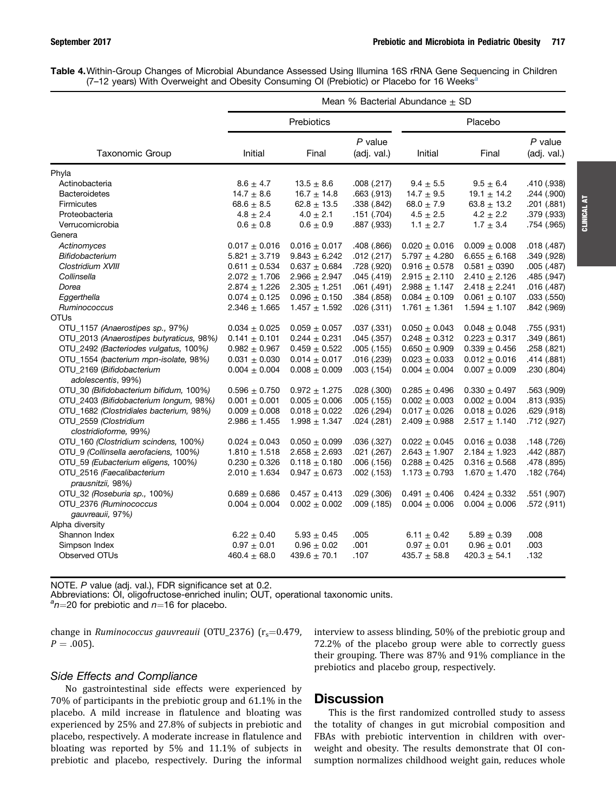<span id="page-6-0"></span>

| Table 4. Within-Group Changes of Microbial Abundance Assessed Using Illumina 16S rRNA Gene Sequencing in Children |  |  |  |  |  |
|-------------------------------------------------------------------------------------------------------------------|--|--|--|--|--|
| (7-12 years) With Overweight and Obesity Consuming OI (Prebiotic) or Placebo for 16 Weeks <sup>2</sup>            |  |  |  |  |  |

|                                                 | Mean % Bacterial Abundance $\pm$ SD |                   |                          |                   |                   |                          |  |  |  |
|-------------------------------------------------|-------------------------------------|-------------------|--------------------------|-------------------|-------------------|--------------------------|--|--|--|
|                                                 |                                     | Prebiotics        |                          | Placebo           |                   |                          |  |  |  |
| Taxonomic Group                                 | Initial                             | Final             | $P$ value<br>(adj. val.) | Initial           | Final             | $P$ value<br>(adj. val.) |  |  |  |
| Phyla                                           |                                     |                   |                          |                   |                   |                          |  |  |  |
| Actinobacteria                                  | $8.6 \pm 4.7$                       | $13.5 \pm 8.6$    | .008(.217)               | $9.4 \pm 5.5$     | $9.5 \pm 6.4$     | .410 (.938)              |  |  |  |
| <b>Bacteroidetes</b>                            | $14.7 \pm 8.6$                      | $16.7 \pm 14.8$   | .663 (.913)              | 14.7 $\pm$ 9.5    | $19.1 \pm 14.2$   | .244 (.900)              |  |  |  |
| Firmicutes                                      | $68.6 \pm 8.5$                      | $62.8 \pm 13.5$   | .338 (.842)              | 68.0 $\pm$ 7.9    | $63.8 \pm 13.2$   | .201 (.881)              |  |  |  |
| Proteobacteria                                  | $4.8 \pm 2.4$                       | $4.0 \pm 2.1$     | .151(.704)               | $4.5 \pm 2.5$     | $4.2 \pm 2.2$     | .379 (.933)              |  |  |  |
| Verrucomicrobia                                 | $0.6 \pm 0.8$                       | $0.6\pm0.9$       | .887 (.933)              | $1.1 \pm 2.7$     | $1.7 \pm 3.4$     | .754 (.965)              |  |  |  |
| Genera                                          |                                     |                   |                          |                   |                   |                          |  |  |  |
| Actinomyces                                     | $0.017 \pm 0.016$                   | $0.016 \pm 0.017$ | .408 (.866)              | $0.020 \pm 0.016$ | $0.009 \pm 0.008$ | .018 (.487)              |  |  |  |
| Bifidobacterium                                 | $5.821 \pm 3.719$                   | $9.843 \pm 6.242$ | .012(.217)               | $5.797 \pm 4.280$ | $6.655 \pm 6.168$ | .349 (.928)              |  |  |  |
| Clostridium XVIII                               | $0.611 \pm 0.534$                   | $0.637 + 0.684$   | .728 (.920)              | $0.916 \pm 0.578$ | $0.581 \pm 0390$  | .005(.487)               |  |  |  |
| Collinsella                                     | $2.072 \pm 1.706$                   | $2.966 \pm 2.947$ | .045(.419)               | $2.915 \pm 2.110$ | $2.410 \pm 2.126$ | .485 (.947)              |  |  |  |
| Dorea                                           | $2.874 \pm 1.226$                   | $2.305 \pm 1.251$ | .061(.491)               | $2.988 \pm 1.147$ | $2.418 \pm 2.241$ | .016(.487)               |  |  |  |
| Eggerthella                                     | $0.074 \pm 0.125$                   | $0.096 \pm 0.150$ | .384 (.858)              | $0.084 \pm 0.109$ | $0.061 \pm 0.107$ | .033(.550)               |  |  |  |
| Ruminococcus                                    | $2.346 \pm 1.665$                   | $1.457 \pm 1.592$ | .026(.311)               | $1.761 \pm 1.361$ | $1.594 \pm 1.107$ | .842 (.969)              |  |  |  |
| <b>OTUs</b>                                     |                                     |                   |                          |                   |                   |                          |  |  |  |
| OTU 1157 (Anaerostipes sp., 97%)                | $0.034 \pm 0.025$                   | $0.059 \pm 0.057$ | .037(.331)               | $0.050 \pm 0.043$ | $0.048 \pm 0.048$ | .755 (.931)              |  |  |  |
| OTU_2013 (Anaerostipes butyraticus, 98%)        | $0.141 \pm 0.101$                   | $0.244 \pm 0.231$ | .045(.357)               | $0.248 \pm 0.312$ | $0.223 \pm 0.317$ | .349 (.861)              |  |  |  |
| OTU_2492 (Bacteriodes vulgatus, 100%)           | $0.982 + 0.967$                     | $0.459 \pm 0.522$ | .005(.155)               | $0.650 \pm 0.909$ | $0.339 \pm 0.456$ | .258 (.821)              |  |  |  |
| OTU_1554 (bacterium mpn-isolate, 98%)           | $0.031 \pm 0.030$                   | $0.014 \pm 0.017$ | .016(.239)               | $0.023 \pm 0.033$ | $0.012 \pm 0.016$ | .414 (.881)              |  |  |  |
| OTU_2169 (Bifidobacterium<br>adolescentis, 99%) | $0.004 \pm 0.004$                   | $0.008 \pm 0.009$ | .003(.154)               | $0.004 \pm 0.004$ | $0.007 \pm 0.009$ | .230 (.804)              |  |  |  |
| OTU_30 (Bifidobacterium bifidum, 100%)          | $0.596 \pm 0.750$                   | $0.972 \pm 1.275$ | .028(.300)               | $0.285 \pm 0.496$ | $0.330 \pm 0.497$ | .563 (.909)              |  |  |  |
| OTU 2403 (Bifidobacterium longum, 98%)          | $0.001 + 0.001$                     | $0.005 \pm 0.006$ | .005(.155)               | $0.002 + 0.003$   | $0.002 + 0.004$   | .813 (.935)              |  |  |  |
| OTU_1682 (Clostridiales bacterium, 98%)         | $0.009 \pm 0.008$                   | $0.018 \pm 0.022$ | .026 (.294)              | $0.017 + 0.026$   | $0.018 \pm 0.026$ | .629 (.918)              |  |  |  |
| OTU 2559 (Clostridium<br>clostridioforme, 99%)  | $2.986 \pm 1.455$                   | $1.998 \pm 1.347$ | .024(.281)               | $2.409 \pm 0.988$ | $2.517 \pm 1.140$ | .712 (.927)              |  |  |  |
| OTU_160 (Clostridium scindens, 100%)            | $0.024 \pm 0.043$                   | $0.050 \pm 0.099$ | .036(.327)               | $0.022 \pm 0.045$ | $0.016 \pm 0.038$ | .148 (.726)              |  |  |  |
| OTU_9 (Collinsella aerofaciens, 100%)           | $1.810 \pm 1.518$                   | $2.658 \pm 2.693$ | .021(.267)               | $2.643 \pm 1.907$ | $2.184 \pm 1.923$ | .442 (.887)              |  |  |  |
| OTU_59 (Eubacterium eligens, 100%)              | $0.230 \pm 0.326$                   | $0.118 \pm 0.180$ | .006(.156)               | $0.288 \pm 0.425$ | $0.316 \pm 0.568$ | .478 (.895)              |  |  |  |
| OTU_2516 (Faecalibacterium<br>prausnitzii, 98%) | $2.010 \pm 1.634$                   | $0.947 \pm 0.673$ | .002(.153)               | $1.173 \pm 0.793$ | $1.670 \pm 1.470$ | .182 (.764)              |  |  |  |
| OTU 32 (Roseburia sp., 100%)                    | $0.689 \pm 0.686$                   | $0.457 \pm 0.413$ | .029(.306)               | $0.491 \pm 0.406$ | $0.424 \pm 0.332$ | .551 (.907)              |  |  |  |
| OTU_2376 (Ruminococcus                          | $0.004 \pm 0.004$                   | $0.002 + 0.002$   | .009(0.185)              | $0.004 \pm 0.006$ | $0.004 \pm 0.006$ | .572 (.911)              |  |  |  |
| gauvreauii, 97%)                                |                                     |                   |                          |                   |                   |                          |  |  |  |
| Alpha diversity                                 |                                     |                   |                          |                   |                   |                          |  |  |  |
| Shannon Index                                   | $6.22 \pm 0.40$                     | $5.93 \pm 0.45$   | .005                     | 6.11 $\pm$ 0.42   | $5.89 \pm 0.39$   | .008                     |  |  |  |
| Simpson Index                                   | $0.97 \pm 0.01$                     | $0.96 \pm 0.02$   | .001                     | $0.97 \pm 0.01$   | $0.96 \pm 0.01$   | .003                     |  |  |  |
| Observed OTUs                                   | $460.4 \pm 68.0$                    | 439.6 $\pm$ 70.1  | .107                     | $435.7 + 58.8$    | $420.3 \pm 54.1$  | .132                     |  |  |  |

NOTE. P value (adj. val.), FDR significance set at 0.2.

Abbreviations: OI, oligofructose-enriched inulin; OUT, operational taxonomic units.

 $a_{n=20}$  for prebiotic and  $n=16$  for placebo.

change in Ruminococcus gauvreauii (OTU\_2376) ( $r_s$ =0.479,  $P = .005$ ).

### Side Effects and Compliance

No gastrointestinal side effects were experienced by 70% of participants in the prebiotic group and 61.1% in the placebo. A mild increase in flatulence and bloating was experienced by 25% and 27.8% of subjects in prebiotic and placebo, respectively. A moderate increase in flatulence and bloating was reported by 5% and 11.1% of subjects in prebiotic and placebo, respectively. During the informal

interview to assess blinding, 50% of the prebiotic group and 72.2% of the placebo group were able to correctly guess their grouping. There was 87% and 91% compliance in the prebiotics and placebo group, respectively.

# **Discussion**

This is the first randomized controlled study to assess the totality of changes in gut microbial composition and FBAs with prebiotic intervention in children with overweight and obesity. The results demonstrate that OI consumption normalizes childhood weight gain, reduces whole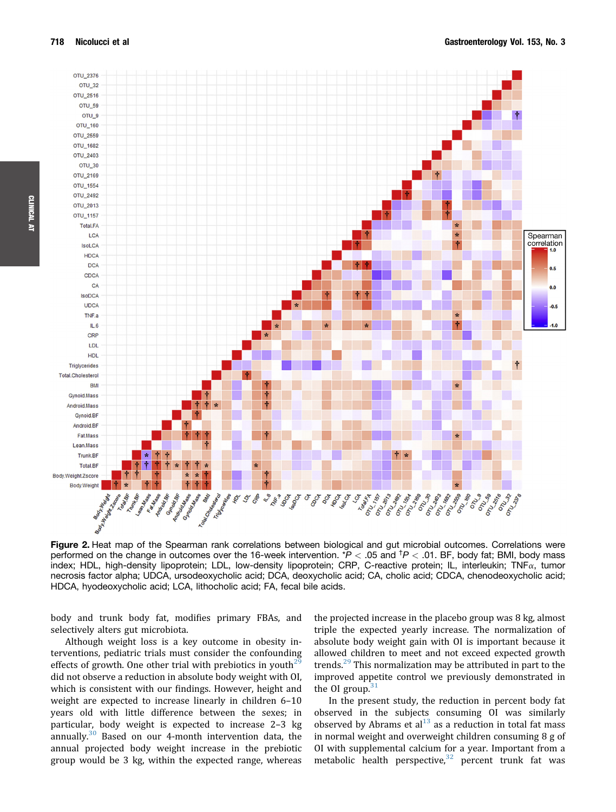<span id="page-7-0"></span>

Figure 2. Heat map of the Spearman rank correlations between biological and gut microbial outcomes. Correlations were performed on the change in outcomes over the 16-week intervention.  $P < .05$  and  $P < .01$ . BF, body fat; BMI, body mass index; HDL, high-density lipoprotein; LDL, low-density lipoprotein; CRP, C-reactive protein; IL, interleukin; TNF $\alpha$ , tumor necrosis factor alpha; UDCA, ursodeoxycholic acid; DCA, deoxycholic acid; CA, cholic acid; CDCA, chenodeoxycholic acid; HDCA, hyodeoxycholic acid; LCA, lithocholic acid; FA, fecal bile acids.

body and trunk body fat, modifies primary FBAs, and selectively alters gut microbiota.

Although weight loss is a key outcome in obesity interventions, pediatric trials must consider the confounding effects of growth. One other trial with prebiotics in youth<sup>29</sup> did not observe a reduction in absolute body weight with OI, which is consistent with our findings. However, height and weight are expected to increase linearly in children 6–10 years old with little difference between the sexes; in particular, body weight is expected to increase 2–3 kg annually. $30$  Based on our 4-month intervention data, the annual projected body weight increase in the prebiotic group would be 3 kg, within the expected range, whereas the projected increase in the placebo group was 8 kg, almost triple the expected yearly increase. The normalization of absolute body weight gain with OI is important because it allowed children to meet and not exceed expected growth trends.<sup>[29](#page-10-0)</sup> This normalization may be attributed in part to the improved appetite control we previously demonstrated in the OI group.<sup>3</sup>

In the present study, the reduction in percent body fat observed in the subjects consuming OI was similarly observed by Abrams et al $^{13}$  $^{13}$  $^{13}$  as a reduction in total fat mass in normal weight and overweight children consuming 8 g of OI with supplemental calcium for a year. Important from a metabolic health perspective, $32$  percent trunk fat was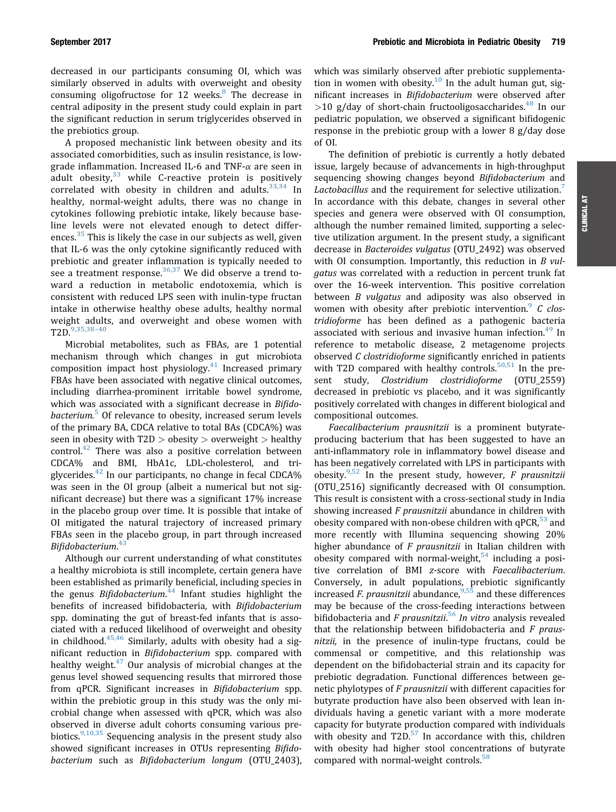decreased in our participants consuming OI, which was similarly observed in adults with overweight and obesity consuming oligofructose for 12 weeks.<sup>[8](#page-9-0)</sup> The decrease in central adiposity in the present study could explain in part the significant reduction in serum triglycerides observed in the prebiotics group.

A proposed mechanistic link between obesity and its associated comorbidities, such as insulin resistance, is lowgrade inflammation. Increased IL-6 and TNF- $\alpha$  are seen in adult obesity, $33$  while C-reactive protein is positively correlated with obesity in children and adults. $33,34$  In healthy, normal-weight adults, there was no change in cytokines following prebiotic intake, likely because baseline levels were not elevated enough to detect differ-ences.<sup>[35](#page-10-0)</sup> This is likely the case in our subjects as well, given that IL-6 was the only cytokine significantly reduced with prebiotic and greater inflammation is typically needed to see a treatment response.  $36,37$  We did observe a trend toward a reduction in metabolic endotoxemia, which is consistent with reduced LPS seen with inulin-type fructan intake in otherwise healthy obese adults, healthy normal weight adults, and overweight and obese women with T2D.[9,35,38](#page-9-0)–[40](#page-9-0)

Microbial metabolites, such as FBAs, are 1 potential mechanism through which changes in gut microbiota composition impact host physiology.<sup>[41](#page-10-0)</sup> Increased primary FBAs have been associated with negative clinical outcomes, including diarrhea-prominent irritable bowel syndrome, which was associated with a significant decrease in Bifido-bacterium.<sup>[5](#page-9-0)</sup> Of relevance to obesity, increased serum levels of the primary BA, CDCA relative to total BAs (CDCA%) was seen in obesity with T2D > obesity > overweight > healthy control. $42$  There was also a positive correlation between CDCA% and BMI, HbA1c, LDL-cholesterol, and triglycerides. $42$  In our participants, no change in fecal CDCA% was seen in the OI group (albeit a numerical but not significant decrease) but there was a significant 17% increase in the placebo group over time. It is possible that intake of OI mitigated the natural trajectory of increased primary FBAs seen in the placebo group, in part through increased Bifidobacterium. [43](#page-10-0)

Although our current understanding of what constitutes a healthy microbiota is still incomplete, certain genera have been established as primarily beneficial, including species in the genus Bifidobacterium.<sup>[44](#page-10-0)</sup> Infant studies highlight the benefits of increased bifidobacteria, with Bifidobacterium spp. dominating the gut of breast-fed infants that is associated with a reduced likelihood of overweight and obesity in childhood. $45,46$  Similarly, adults with obesity had a significant reduction in Bifidobacterium spp. compared with healthy weight. $47$  Our analysis of microbial changes at the genus level showed sequencing results that mirrored those from qPCR. Significant increases in Bifidobacterium spp. within the prebiotic group in this study was the only microbial change when assessed with qPCR, which was also observed in diverse adult cohorts consuming various prebiotics. $9,10,35$  Sequencing analysis in the present study also showed significant increases in OTUs representing Bifidobacterium such as Bifidobacterium longum (OTU\_2403),

which was similarly observed after prebiotic supplementa-tion in women with obesity.<sup>[10](#page-9-0)</sup> In the adult human gut, significant increases in Bifidobacterium were observed after  $>$ 10 g/day of short-chain fructooligosaccharides.<sup>[48](#page-10-0)</sup> In our pediatric population, we observed a significant bifidogenic response in the prebiotic group with a lower 8 g/day dose of OI.

The definition of prebiotic is currently a hotly debated issue, largely because of advancements in high-throughput sequencing showing changes beyond Bifidobacterium and Lactobacillus and the requirement for selective utilization.<sup>[7](#page-9-0)</sup> In accordance with this debate, changes in several other species and genera were observed with OI consumption, although the number remained limited, supporting a selective utilization argument. In the present study, a significant decrease in Bacteroides vulgatus (OTU\_2492) was observed with OI consumption. Importantly, this reduction in B vulgatus was correlated with a reduction in percent trunk fat over the 16-week intervention. This positive correlation between *B* vulgatus and adiposity was also observed in women with obesity after prebiotic intervention. C clostridioforme has been defined as a pathogenic bacteria associated with serious and invasive human infection.<sup>49</sup> In reference to metabolic disease, 2 metagenome projects observed C clostridioforme significantly enriched in patients with T2D compared with healthy controls. $50,51$  In the present study, Clostridium clostridioforme (OTU\_2559) decreased in prebiotic vs placebo, and it was significantly positively correlated with changes in different biological and compositional outcomes.

Faecalibacterium prausnitzii is a prominent butyrateproducing bacterium that has been suggested to have an anti-inflammatory role in inflammatory bowel disease and has been negatively correlated with LPS in participants with obesity.<sup>[9,52](#page-9-0)</sup> In the present study, however, F prausnitzii (OTU\_2516) significantly decreased with OI consumption. This result is consistent with a cross-sectional study in India showing increased F prausnitzii abundance in children with obesity compared with non-obese children with  $qPCR$ <sup>[53](#page-10-0)</sup> and more recently with Illumina sequencing showing 20% higher abundance of  $F$  prausnitzii in Italian children with obesity compared with normal-weight, $54$  including a positive correlation of BMI z-score with Faecalibacterium. Conversely, in adult populations, prebiotic significantly increased *F. prausnitzii* abundance,  $9,55$  and these differences may be because of the cross-feeding interactions between bifidobacteria and F prausnitzii.<sup>[56](#page-10-0)</sup> In vitro analysis revealed that the relationship between bifidobacteria and  $F$  prausnitzii, in the presence of inulin-type fructans, could be commensal or competitive, and this relationship was dependent on the bifidobacterial strain and its capacity for prebiotic degradation. Functional differences between genetic phylotypes of F prausnitzii with different capacities for butyrate production have also been observed with lean individuals having a genetic variant with a more moderate capacity for butyrate production compared with individuals with obesity and  $T2D^{57}$  $T2D^{57}$  $T2D^{57}$  In accordance with this, children with obesity had higher stool concentrations of butyrate compared with normal-weight controls.<sup>[58](#page-10-0)</sup>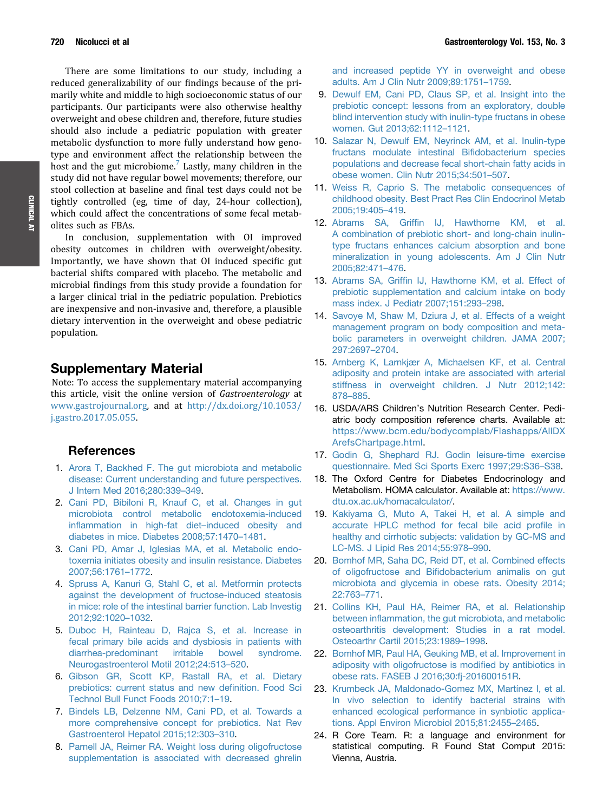<span id="page-9-0"></span>There are some limitations to our study, including a reduced generalizability of our findings because of the primarily white and middle to high socioeconomic status of our participants. Our participants were also otherwise healthy overweight and obese children and, therefore, future studies should also include a pediatric population with greater metabolic dysfunction to more fully understand how genotype and environment affect the relationship between the host and the gut microbiome.<sup>7</sup> Lastly, many children in the study did not have regular bowel movements; therefore, our stool collection at baseline and final test days could not be tightly controlled (eg, time of day, 24-hour collection), which could affect the concentrations of some fecal metabolites such as FBAs.

In conclusion, supplementation with OI improved obesity outcomes in children with overweight/obesity. Importantly, we have shown that OI induced specific gut bacterial shifts compared with placebo. The metabolic and microbial findings from this study provide a foundation for a larger clinical trial in the pediatric population. Prebiotics are inexpensive and non-invasive and, therefore, a plausible dietary intervention in the overweight and obese pediatric population.

# Supplementary Material

Note: To access the supplementary material accompanying this article, visit the online version of Gastroenterology at [www.gastrojournal.org,](http://www.gastrojournal.org) and at [http://dx.doi.org/10.1053/](http://dx.doi.org/10.1053/j.gastro.2017.05.055) [j.gastro.2017.05.055](http://dx.doi.org/10.1053/j.gastro.2017.05.055).

### References

- 1. [Arora T, Backhed F. The gut microbiota and metabolic](http://refhub.elsevier.com/S0016-5085(17)35698-6/sref1) [disease: Current understanding and future perspectives.](http://refhub.elsevier.com/S0016-5085(17)35698-6/sref1) [J Intern Med 2016;280:339](http://refhub.elsevier.com/S0016-5085(17)35698-6/sref1)–[349.](http://refhub.elsevier.com/S0016-5085(17)35698-6/sref1)
- 2. [Cani PD, Bibiloni R, Knauf C, et al. Changes in gut](http://refhub.elsevier.com/S0016-5085(17)35698-6/sref2) [microbiota control metabolic endotoxemia-induced](http://refhub.elsevier.com/S0016-5085(17)35698-6/sref2) infl[ammation in high-fat diet](http://refhub.elsevier.com/S0016-5085(17)35698-6/sref2)–[induced obesity and](http://refhub.elsevier.com/S0016-5085(17)35698-6/sref2) [diabetes in mice. Diabetes 2008;57:1470](http://refhub.elsevier.com/S0016-5085(17)35698-6/sref2)–[1481](http://refhub.elsevier.com/S0016-5085(17)35698-6/sref2).
- 3. [Cani PD, Amar J, Iglesias MA, et al. Metabolic endo](http://refhub.elsevier.com/S0016-5085(17)35698-6/sref3)[toxemia initiates obesity and insulin resistance. Diabetes](http://refhub.elsevier.com/S0016-5085(17)35698-6/sref3) [2007;56:1761](http://refhub.elsevier.com/S0016-5085(17)35698-6/sref3)–[1772.](http://refhub.elsevier.com/S0016-5085(17)35698-6/sref3)
- 4. [Spruss A, Kanuri G, Stahl C, et al. Metformin protects](http://refhub.elsevier.com/S0016-5085(17)35698-6/sref4) [against the development of fructose-induced steatosis](http://refhub.elsevier.com/S0016-5085(17)35698-6/sref4) [in mice: role of the intestinal barrier function. Lab Investig](http://refhub.elsevier.com/S0016-5085(17)35698-6/sref4) [2012;92:1020](http://refhub.elsevier.com/S0016-5085(17)35698-6/sref4)–[1032.](http://refhub.elsevier.com/S0016-5085(17)35698-6/sref4)
- 5. [Duboc H, Rainteau D, Rajca S, et al. Increase in](http://refhub.elsevier.com/S0016-5085(17)35698-6/sref5) [fecal primary bile acids and dysbiosis in patients with](http://refhub.elsevier.com/S0016-5085(17)35698-6/sref5) [diarrhea-predominant irritable bowel syndrome.](http://refhub.elsevier.com/S0016-5085(17)35698-6/sref5) [Neurogastroenterol Motil 2012;24:513](http://refhub.elsevier.com/S0016-5085(17)35698-6/sref5)–[520](http://refhub.elsevier.com/S0016-5085(17)35698-6/sref5).
- 6. [Gibson GR, Scott KP, Rastall RA, et al. Dietary](http://refhub.elsevier.com/S0016-5085(17)35698-6/sref6) [prebiotics: current status and new de](http://refhub.elsevier.com/S0016-5085(17)35698-6/sref6)finition. Food Sci [Technol Bull Funct Foods 2010;7:1](http://refhub.elsevier.com/S0016-5085(17)35698-6/sref6)–[19](http://refhub.elsevier.com/S0016-5085(17)35698-6/sref6).
- 7. [Bindels LB, Delzenne NM, Cani PD, et al. Towards a](http://refhub.elsevier.com/S0016-5085(17)35698-6/sref7) [more comprehensive concept for prebiotics. Nat Rev](http://refhub.elsevier.com/S0016-5085(17)35698-6/sref7) [Gastroenterol Hepatol 2015;12:303](http://refhub.elsevier.com/S0016-5085(17)35698-6/sref7)–[310](http://refhub.elsevier.com/S0016-5085(17)35698-6/sref7).
- 8. [Parnell JA, Reimer RA. Weight loss during oligofructose](http://refhub.elsevier.com/S0016-5085(17)35698-6/sref8) [supplementation is associated with decreased ghrelin](http://refhub.elsevier.com/S0016-5085(17)35698-6/sref8)

[and increased peptide YY in overweight and obese](http://refhub.elsevier.com/S0016-5085(17)35698-6/sref8) [adults. Am J Clin Nutr 2009;89:1751](http://refhub.elsevier.com/S0016-5085(17)35698-6/sref8)–[1759.](http://refhub.elsevier.com/S0016-5085(17)35698-6/sref8)

- 9. [Dewulf EM, Cani PD, Claus SP, et al. Insight into the](http://refhub.elsevier.com/S0016-5085(17)35698-6/sref9) [prebiotic concept: lessons from an exploratory, double](http://refhub.elsevier.com/S0016-5085(17)35698-6/sref9) [blind intervention study with inulin-type fructans in obese](http://refhub.elsevier.com/S0016-5085(17)35698-6/sref9) [women. Gut 2013;62:1112](http://refhub.elsevier.com/S0016-5085(17)35698-6/sref9)–[1121.](http://refhub.elsevier.com/S0016-5085(17)35698-6/sref9)
- 10. [Salazar N, Dewulf EM, Neyrinck AM, et al. Inulin-type](http://refhub.elsevier.com/S0016-5085(17)35698-6/sref10) [fructans modulate intestinal Bi](http://refhub.elsevier.com/S0016-5085(17)35698-6/sref10)fidobacterium species [populations and decrease fecal short-chain fatty acids in](http://refhub.elsevier.com/S0016-5085(17)35698-6/sref10) [obese women. Clin Nutr 2015;34:501](http://refhub.elsevier.com/S0016-5085(17)35698-6/sref10)–[507](http://refhub.elsevier.com/S0016-5085(17)35698-6/sref10).
- 11. [Weiss R, Caprio S. The metabolic consequences of](http://refhub.elsevier.com/S0016-5085(17)35698-6/sref11) [childhood obesity. Best Pract Res Clin Endocrinol Metab](http://refhub.elsevier.com/S0016-5085(17)35698-6/sref11) [2005;19:405](http://refhub.elsevier.com/S0016-5085(17)35698-6/sref11)–[419](http://refhub.elsevier.com/S0016-5085(17)35698-6/sref11).
- 12. Abrams SA, Griffi[n IJ, Hawthorne KM, et al.](http://refhub.elsevier.com/S0016-5085(17)35698-6/sref12) [A combination of prebiotic short- and long-chain inulin](http://refhub.elsevier.com/S0016-5085(17)35698-6/sref12)[type fructans enhances calcium absorption and bone](http://refhub.elsevier.com/S0016-5085(17)35698-6/sref12) [mineralization in young adolescents. Am J Clin Nutr](http://refhub.elsevier.com/S0016-5085(17)35698-6/sref12) [2005;82:471](http://refhub.elsevier.com/S0016-5085(17)35698-6/sref12)–[476](http://refhub.elsevier.com/S0016-5085(17)35698-6/sref12).
- 13. Abrams SA, Griffi[n IJ, Hawthorne KM, et al. Effect of](http://refhub.elsevier.com/S0016-5085(17)35698-6/sref13) [prebiotic supplementation and calcium intake on body](http://refhub.elsevier.com/S0016-5085(17)35698-6/sref13) [mass index. J Pediatr 2007;151:293](http://refhub.elsevier.com/S0016-5085(17)35698-6/sref13)–[298.](http://refhub.elsevier.com/S0016-5085(17)35698-6/sref13)
- 14. [Savoye M, Shaw M, Dziura J, et al. Effects of a weight](http://refhub.elsevier.com/S0016-5085(17)35698-6/sref14) [management program on body composition and meta](http://refhub.elsevier.com/S0016-5085(17)35698-6/sref14)[bolic parameters in overweight children. JAMA 2007;](http://refhub.elsevier.com/S0016-5085(17)35698-6/sref14) [297:2697](http://refhub.elsevier.com/S0016-5085(17)35698-6/sref14)–[2704.](http://refhub.elsevier.com/S0016-5085(17)35698-6/sref14)
- 15. [Arnberg K, Larnkjær A, Michaelsen KF, et al. Central](http://refhub.elsevier.com/S0016-5085(17)35698-6/sref15) [adiposity and protein intake are associated with arterial](http://refhub.elsevier.com/S0016-5085(17)35698-6/sref15) [stiffness in overweight children. J Nutr 2012;142:](http://refhub.elsevier.com/S0016-5085(17)35698-6/sref15) [878](http://refhub.elsevier.com/S0016-5085(17)35698-6/sref15)–[885.](http://refhub.elsevier.com/S0016-5085(17)35698-6/sref15)
- 16. USDA/ARS Children's Nutrition Research Center. Pediatric body composition reference charts. Available at: [https://www.bcm.edu/bodycomplab/Flashapps/AllDX](https://www.bcm.edu/bodycomplab/Flashapps/AllDXArefsChartpage.html) [ArefsChartpage.html.](https://www.bcm.edu/bodycomplab/Flashapps/AllDXArefsChartpage.html)
- 17. [Godin G, Shephard RJ. Godin leisure-time exercise](http://refhub.elsevier.com/S0016-5085(17)35698-6/sref17) [questionnaire. Med Sci Sports Exerc 1997;29:S36](http://refhub.elsevier.com/S0016-5085(17)35698-6/sref17)–[S38.](http://refhub.elsevier.com/S0016-5085(17)35698-6/sref17)
- 18. The Oxford Centre for Diabetes Endocrinology and Metabolism. HOMA calculator. Available at: [https://www.](https://www.dtu.ox.ac.uk/homacalculator/) [dtu.ox.ac.uk/homacalculator/](https://www.dtu.ox.ac.uk/homacalculator/).
- 19. [Kakiyama G, Muto A, Takei H, et al. A simple and](http://refhub.elsevier.com/S0016-5085(17)35698-6/sref19) [accurate HPLC method for fecal bile acid pro](http://refhub.elsevier.com/S0016-5085(17)35698-6/sref19)file in [healthy and cirrhotic subjects: validation by GC-MS and](http://refhub.elsevier.com/S0016-5085(17)35698-6/sref19) [LC-MS. J Lipid Res 2014;55:978](http://refhub.elsevier.com/S0016-5085(17)35698-6/sref19)–[990](http://refhub.elsevier.com/S0016-5085(17)35698-6/sref19).
- 20. [Bomhof MR, Saha DC, Reid DT, et al. Combined effects](http://refhub.elsevier.com/S0016-5085(17)35698-6/sref20) of oligofructose and Bifi[dobacterium animalis on gut](http://refhub.elsevier.com/S0016-5085(17)35698-6/sref20) [microbiota and glycemia in obese rats. Obesity 2014;](http://refhub.elsevier.com/S0016-5085(17)35698-6/sref20) [22:763](http://refhub.elsevier.com/S0016-5085(17)35698-6/sref20)–[771.](http://refhub.elsevier.com/S0016-5085(17)35698-6/sref20)
- 21. [Collins KH, Paul HA, Reimer RA, et al. Relationship](http://refhub.elsevier.com/S0016-5085(17)35698-6/sref21) between infl[ammation, the gut microbiota, and metabolic](http://refhub.elsevier.com/S0016-5085(17)35698-6/sref21) [osteoarthritis development: Studies in a rat model.](http://refhub.elsevier.com/S0016-5085(17)35698-6/sref21) [Osteoarthr Cartil 2015;23:1989](http://refhub.elsevier.com/S0016-5085(17)35698-6/sref21)–[1998](http://refhub.elsevier.com/S0016-5085(17)35698-6/sref21).
- 22. [Bomhof MR, Paul HA, Geuking MB, et al. Improvement in](http://refhub.elsevier.com/S0016-5085(17)35698-6/sref22) [adiposity with oligofructose is modi](http://refhub.elsevier.com/S0016-5085(17)35698-6/sref22)fied by antibiotics in [obese rats. FASEB J 2016;30:fj-201600151R.](http://refhub.elsevier.com/S0016-5085(17)35698-6/sref22)
- 23. [Krumbeck JA, Maldonado-Gomez MX, Martínez I, et al.](http://refhub.elsevier.com/S0016-5085(17)35698-6/sref23) [In vivo selection to identify bacterial strains with](http://refhub.elsevier.com/S0016-5085(17)35698-6/sref23) [enhanced ecological performance in synbiotic applica](http://refhub.elsevier.com/S0016-5085(17)35698-6/sref23)[tions. Appl Environ Microbiol 2015;81:2455](http://refhub.elsevier.com/S0016-5085(17)35698-6/sref23)–[2465](http://refhub.elsevier.com/S0016-5085(17)35698-6/sref23).
- 24. R Core Team. R: a language and environment for statistical computing. R Found Stat Comput 2015: Vienna, Austria.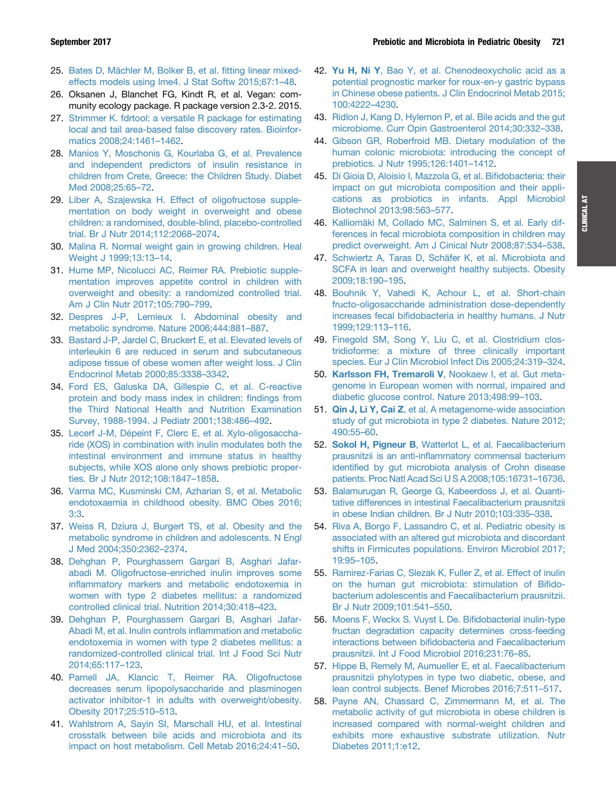- <span id="page-10-0"></span>25. [Bates D, Mächler M, Bolker B, et al.](http://refhub.elsevier.com/S0016-5085(17)35698-6/sref25) fitting linear mixed[effects models using lme4. J Stat Softw 2015;67:1](http://refhub.elsevier.com/S0016-5085(17)35698-6/sref25)–[48.](http://refhub.elsevier.com/S0016-5085(17)35698-6/sref25)
- 26. Oksanen J, Blanchet FG, Kindt R, et al. Vegan: community ecology package. R package version 2.3-2. 2015.
- 27. [Strimmer K. fdrtool: a versatile R package for estimating](http://refhub.elsevier.com/S0016-5085(17)35698-6/sref27) [local and tail area-based false discovery rates. Bioinfor](http://refhub.elsevier.com/S0016-5085(17)35698-6/sref27)[matics 2008;24:1461](http://refhub.elsevier.com/S0016-5085(17)35698-6/sref27)–[1462](http://refhub.elsevier.com/S0016-5085(17)35698-6/sref27).
- 28. [Manios Y, Moschonis G, Kourlaba G, et al. Prevalence](http://refhub.elsevier.com/S0016-5085(17)35698-6/sref28) [and independent predictors of insulin resistance in](http://refhub.elsevier.com/S0016-5085(17)35698-6/sref28) [children from Crete, Greece: the Children Study. Diabet](http://refhub.elsevier.com/S0016-5085(17)35698-6/sref28) [Med 2008;25:65](http://refhub.elsevier.com/S0016-5085(17)35698-6/sref28)–[72.](http://refhub.elsevier.com/S0016-5085(17)35698-6/sref28)
- 29. [Liber A, Szajewska H. Effect of oligofructose supple](http://refhub.elsevier.com/S0016-5085(17)35698-6/sref29)[mentation on body weight in overweight and obese](http://refhub.elsevier.com/S0016-5085(17)35698-6/sref29) [children: a randomised, double-blind, placebo-controlled](http://refhub.elsevier.com/S0016-5085(17)35698-6/sref29) [trial. Br J Nutr 2014;112:2068](http://refhub.elsevier.com/S0016-5085(17)35698-6/sref29)–[2074](http://refhub.elsevier.com/S0016-5085(17)35698-6/sref29).
- 30. [Malina R. Normal weight gain in growing children. Heal](http://refhub.elsevier.com/S0016-5085(17)35698-6/sref30) [Weight J 1999;13:13](http://refhub.elsevier.com/S0016-5085(17)35698-6/sref30)–[14.](http://refhub.elsevier.com/S0016-5085(17)35698-6/sref30)
- 31. [Hume MP, Nicolucci AC, Reimer RA. Prebiotic supple](http://refhub.elsevier.com/S0016-5085(17)35698-6/sref31)[mentation improves appetite control in children with](http://refhub.elsevier.com/S0016-5085(17)35698-6/sref31) [overweight and obesity: a randomized controlled trial.](http://refhub.elsevier.com/S0016-5085(17)35698-6/sref31) [Am J Clin Nutr 2017;105:790](http://refhub.elsevier.com/S0016-5085(17)35698-6/sref31)–[799](http://refhub.elsevier.com/S0016-5085(17)35698-6/sref31).
- 32. [Despres J-P, Lemieux I. Abdominal obesity and](http://refhub.elsevier.com/S0016-5085(17)35698-6/sref32) [metabolic syndrome. Nature 2006;444:881](http://refhub.elsevier.com/S0016-5085(17)35698-6/sref32)–[887](http://refhub.elsevier.com/S0016-5085(17)35698-6/sref32).
- 33. [Bastard J-P, Jardel C, Bruckert E, et al. Elevated levels of](http://refhub.elsevier.com/S0016-5085(17)35698-6/sref33) [interleukin 6 are reduced in serum and subcutaneous](http://refhub.elsevier.com/S0016-5085(17)35698-6/sref33) [adipose tissue of obese women after weight loss. J Clin](http://refhub.elsevier.com/S0016-5085(17)35698-6/sref33) [Endocrinol Metab 2000;85:3338](http://refhub.elsevier.com/S0016-5085(17)35698-6/sref33)–[3342.](http://refhub.elsevier.com/S0016-5085(17)35698-6/sref33)
- 34. [Ford ES, Galuska DA, Gillespie C, et al. C-reactive](http://refhub.elsevier.com/S0016-5085(17)35698-6/sref34) [protein and body mass index in children:](http://refhub.elsevier.com/S0016-5085(17)35698-6/sref34) findings from [the Third National Health and Nutrition Examination](http://refhub.elsevier.com/S0016-5085(17)35698-6/sref34) [Survey, 1988-1994. J Pediatr 2001;138:486](http://refhub.elsevier.com/S0016-5085(17)35698-6/sref34)–[492.](http://refhub.elsevier.com/S0016-5085(17)35698-6/sref34)
- 35. [Lecerf J-M, Dépeint F, Clerc E, et al. Xylo-oligosaccha](http://refhub.elsevier.com/S0016-5085(17)35698-6/sref35)[ride \(XOS\) in combination with inulin modulates both the](http://refhub.elsevier.com/S0016-5085(17)35698-6/sref35) [intestinal environment and immune status in healthy](http://refhub.elsevier.com/S0016-5085(17)35698-6/sref35) [subjects, while XOS alone only shows prebiotic proper](http://refhub.elsevier.com/S0016-5085(17)35698-6/sref35)[ties. Br J Nutr 2012;108:1847](http://refhub.elsevier.com/S0016-5085(17)35698-6/sref35)–[1858.](http://refhub.elsevier.com/S0016-5085(17)35698-6/sref35)
- 36. [Varma MC, Kusminski CM, Azharian S, et al. Metabolic](http://refhub.elsevier.com/S0016-5085(17)35698-6/sref36) [endotoxaemia in childhood obesity. BMC Obes 2016;](http://refhub.elsevier.com/S0016-5085(17)35698-6/sref36) [3:3.](http://refhub.elsevier.com/S0016-5085(17)35698-6/sref36)
- 37. [Weiss R, Dziura J, Burgert TS, et al. Obesity and the](http://refhub.elsevier.com/S0016-5085(17)35698-6/sref37) [metabolic syndrome in children and adolescents. N Engl](http://refhub.elsevier.com/S0016-5085(17)35698-6/sref37) [J Med 2004;350:2362](http://refhub.elsevier.com/S0016-5085(17)35698-6/sref37)–[2374](http://refhub.elsevier.com/S0016-5085(17)35698-6/sref37).
- 38. [Dehghan P, Pourghassem Gargari B, Asghari Jafar](http://refhub.elsevier.com/S0016-5085(17)35698-6/sref38)[abadi M. Oligofructose-enriched inulin improves some](http://refhub.elsevier.com/S0016-5085(17)35698-6/sref38) infl[ammatory markers and metabolic endotoxemia in](http://refhub.elsevier.com/S0016-5085(17)35698-6/sref38) [women with type 2 diabetes mellitus: a randomized](http://refhub.elsevier.com/S0016-5085(17)35698-6/sref38) [controlled clinical trial. Nutrition 2014;30:418](http://refhub.elsevier.com/S0016-5085(17)35698-6/sref38)–[423](http://refhub.elsevier.com/S0016-5085(17)35698-6/sref38).
- 39. [Dehghan P, Pourghassem Gargari B, Asghari Jafar-](http://refhub.elsevier.com/S0016-5085(17)35698-6/sref39)[Abadi M, et al. Inulin controls in](http://refhub.elsevier.com/S0016-5085(17)35698-6/sref39)flammation and metabolic [endotoxemia in women with type 2 diabetes mellitus: a](http://refhub.elsevier.com/S0016-5085(17)35698-6/sref39) [randomized-controlled clinical trial. Int J Food Sci Nutr](http://refhub.elsevier.com/S0016-5085(17)35698-6/sref39) [2014;65:117](http://refhub.elsevier.com/S0016-5085(17)35698-6/sref39)–[123](http://refhub.elsevier.com/S0016-5085(17)35698-6/sref39).
- 40. [Parnell JA, Klancic T, Reimer RA. Oligofructose](http://refhub.elsevier.com/S0016-5085(17)35698-6/sref40) [decreases serum lipopolysaccharide and plasminogen](http://refhub.elsevier.com/S0016-5085(17)35698-6/sref40) [activator inhibitor-1 in adults with overweight/obesity.](http://refhub.elsevier.com/S0016-5085(17)35698-6/sref40) [Obesity 2017;25:510](http://refhub.elsevier.com/S0016-5085(17)35698-6/sref40)–[513](http://refhub.elsevier.com/S0016-5085(17)35698-6/sref40).
- 41. [Wahlstrom A, Sayin SI, Marschall HU, et al. Intestinal](http://refhub.elsevier.com/S0016-5085(17)35698-6/sref41) [crosstalk between bile acids and microbiota and its](http://refhub.elsevier.com/S0016-5085(17)35698-6/sref41) [impact on host metabolism. Cell Metab 2016;24:41](http://refhub.elsevier.com/S0016-5085(17)35698-6/sref41)–[50.](http://refhub.elsevier.com/S0016-5085(17)35698-6/sref41)
- 42. Yu H, Ni Y[, Bao Y, et al. Chenodeoxycholic acid as a](http://refhub.elsevier.com/S0016-5085(17)35698-6/sref42) [potential prognostic marker for roux-en-y gastric bypass](http://refhub.elsevier.com/S0016-5085(17)35698-6/sref42) [in Chinese obese patients. J Clin Endocrinol Metab 2015;](http://refhub.elsevier.com/S0016-5085(17)35698-6/sref42) [100:4222](http://refhub.elsevier.com/S0016-5085(17)35698-6/sref42)–[4230.](http://refhub.elsevier.com/S0016-5085(17)35698-6/sref42)
- 43. [Ridlon J, Kang D, Hylemon P, et al. Bile acids and the gut](http://refhub.elsevier.com/S0016-5085(17)35698-6/sref43) [microbiome. Curr Opin Gastroenterol 2014;30:332](http://refhub.elsevier.com/S0016-5085(17)35698-6/sref43)–[338.](http://refhub.elsevier.com/S0016-5085(17)35698-6/sref43)
- 44. [Gibson GR, Roberfroid MB. Dietary modulation of the](http://refhub.elsevier.com/S0016-5085(17)35698-6/sref44) [human colonic microbiota: introducing the concept of](http://refhub.elsevier.com/S0016-5085(17)35698-6/sref44) [prebiotics. J Nutr 1995;126:1401](http://refhub.elsevier.com/S0016-5085(17)35698-6/sref44)–[1412](http://refhub.elsevier.com/S0016-5085(17)35698-6/sref44).
- 45. [Di Gioia D, Aloisio I, Mazzola G, et al. Bi](http://refhub.elsevier.com/S0016-5085(17)35698-6/sref45)fidobacteria: their [impact on gut microbiota composition and their appli](http://refhub.elsevier.com/S0016-5085(17)35698-6/sref45)[cations as probiotics in infants. Appl Microbiol](http://refhub.elsevier.com/S0016-5085(17)35698-6/sref45) [Biotechnol 2013;98:563](http://refhub.elsevier.com/S0016-5085(17)35698-6/sref45)–[577.](http://refhub.elsevier.com/S0016-5085(17)35698-6/sref45)
- 46. [Kalliomäki M, Collado MC, Salminen S, et al. Early dif](http://refhub.elsevier.com/S0016-5085(17)35698-6/sref46)[ferences in fecal microbiota composition in children may](http://refhub.elsevier.com/S0016-5085(17)35698-6/sref46) [predict overweight. Am J Cinical Nutr 2008;87:534](http://refhub.elsevier.com/S0016-5085(17)35698-6/sref46)–[538](http://refhub.elsevier.com/S0016-5085(17)35698-6/sref46).
- 47. [Schwiertz A, Taras D, Schäfer K, et al. Microbiota and](http://refhub.elsevier.com/S0016-5085(17)35698-6/sref47) [SCFA in lean and overweight healthy subjects. Obesity](http://refhub.elsevier.com/S0016-5085(17)35698-6/sref47) [2009;18:190](http://refhub.elsevier.com/S0016-5085(17)35698-6/sref47)–[195](http://refhub.elsevier.com/S0016-5085(17)35698-6/sref47).
- 48. [Bouhnik Y, Vahedi K, Achour L, et al. Short-chain](http://refhub.elsevier.com/S0016-5085(17)35698-6/sref48) [fructo-oligosaccharide administration dose-dependently](http://refhub.elsevier.com/S0016-5085(17)35698-6/sref48) increases fecal bifi[dobacteria in healthy humans. J Nutr](http://refhub.elsevier.com/S0016-5085(17)35698-6/sref48) [1999;129:113](http://refhub.elsevier.com/S0016-5085(17)35698-6/sref48)–[116](http://refhub.elsevier.com/S0016-5085(17)35698-6/sref48).
- 49. [Finegold SM, Song Y, Liu C, et al. Clostridium clos](http://refhub.elsevier.com/S0016-5085(17)35698-6/sref49)[tridioforme: a mixture of three clinically important](http://refhub.elsevier.com/S0016-5085(17)35698-6/sref49) [species. Eur J Clin Microbiol Infect Dis 2005;24:319](http://refhub.elsevier.com/S0016-5085(17)35698-6/sref49)–[324.](http://refhub.elsevier.com/S0016-5085(17)35698-6/sref49)
- 50. Karlsson FH, Tremaroli V[, Nookaew I, et al. Gut meta](http://refhub.elsevier.com/S0016-5085(17)35698-6/sref50)[genome in European women with normal, impaired and](http://refhub.elsevier.com/S0016-5085(17)35698-6/sref50) [diabetic glucose control. Nature 2013;498:99](http://refhub.elsevier.com/S0016-5085(17)35698-6/sref50)–[103](http://refhub.elsevier.com/S0016-5085(17)35698-6/sref50).
- 51. Qin J, Li Y, Cai Z[, et al. A metagenome-wide association](http://refhub.elsevier.com/S0016-5085(17)35698-6/sref51) [study of gut microbiota in type 2 diabetes. Nature 2012;](http://refhub.elsevier.com/S0016-5085(17)35698-6/sref51) [490:55](http://refhub.elsevier.com/S0016-5085(17)35698-6/sref51)–[60.](http://refhub.elsevier.com/S0016-5085(17)35698-6/sref51)
- 52. Sokol H, Pigneur B[, Watterlot L, et al. Faecalibacterium](http://refhub.elsevier.com/S0016-5085(17)35698-6/sref52) prausnitzii is an anti-infl[ammatory commensal bacterium](http://refhub.elsevier.com/S0016-5085(17)35698-6/sref52) identifi[ed by gut microbiota analysis of Crohn disease](http://refhub.elsevier.com/S0016-5085(17)35698-6/sref52) [patients. Proc Natl Acad Sci U S A 2008;105:16731](http://refhub.elsevier.com/S0016-5085(17)35698-6/sref52)–[16736.](http://refhub.elsevier.com/S0016-5085(17)35698-6/sref52)
- 53. [Balamurugan R, George G, Kabeerdoss J, et al. Quanti](http://refhub.elsevier.com/S0016-5085(17)35698-6/sref53)[tative differences in intestinal Faecalibacterium prausnitzii](http://refhub.elsevier.com/S0016-5085(17)35698-6/sref53) [in obese Indian children. Br J Nutr 2010;103:335](http://refhub.elsevier.com/S0016-5085(17)35698-6/sref53)–[338](http://refhub.elsevier.com/S0016-5085(17)35698-6/sref53).
- 54. [Riva A, Borgo F, Lassandro C, et al. Pediatric obesity is](http://refhub.elsevier.com/S0016-5085(17)35698-6/sref54) [associated with an altered gut microbiota and discordant](http://refhub.elsevier.com/S0016-5085(17)35698-6/sref54) [shifts in Firmicutes populations. Environ Microbiol 2017;](http://refhub.elsevier.com/S0016-5085(17)35698-6/sref54) [19:95](http://refhub.elsevier.com/S0016-5085(17)35698-6/sref54)–[105.](http://refhub.elsevier.com/S0016-5085(17)35698-6/sref54)
- 55. [Ramirez-Farias C, Slezak K, Fuller Z, et al. Effect of inulin](http://refhub.elsevier.com/S0016-5085(17)35698-6/sref55) [on the human gut microbiota: stimulation of Bi](http://refhub.elsevier.com/S0016-5085(17)35698-6/sref55)fido[bacterium adolescentis and Faecalibacterium prausnitzii.](http://refhub.elsevier.com/S0016-5085(17)35698-6/sref55) [Br J Nutr 2009;101:541](http://refhub.elsevier.com/S0016-5085(17)35698-6/sref55)–[550.](http://refhub.elsevier.com/S0016-5085(17)35698-6/sref55)
- 56. [Moens F, Weckx S. Vuyst L De. Bi](http://refhub.elsevier.com/S0016-5085(17)35698-6/sref56)fidobacterial inulin-type [fructan degradation capacity determines cross-feeding](http://refhub.elsevier.com/S0016-5085(17)35698-6/sref56) interactions between bifi[dobacteria and Faecalibacterium](http://refhub.elsevier.com/S0016-5085(17)35698-6/sref56) [prausnitzii. Int J Food Microbiol 2016;231:76](http://refhub.elsevier.com/S0016-5085(17)35698-6/sref56)–[85](http://refhub.elsevier.com/S0016-5085(17)35698-6/sref56).
- 57. [Hippe B, Remely M, Aumueller E, et al. Faecalibacterium](http://refhub.elsevier.com/S0016-5085(17)35698-6/sref57) [prausnitzii phylotypes in type two diabetic, obese, and](http://refhub.elsevier.com/S0016-5085(17)35698-6/sref57) [lean control subjects. Benef Microbes 2016;7:511](http://refhub.elsevier.com/S0016-5085(17)35698-6/sref57)–[517](http://refhub.elsevier.com/S0016-5085(17)35698-6/sref57).
- 58. [Payne AN, Chassard C, Zimmermann M, et al. The](http://refhub.elsevier.com/S0016-5085(17)35698-6/sref58) [metabolic activity of gut microbiota in obese children is](http://refhub.elsevier.com/S0016-5085(17)35698-6/sref58) [increased compared with normal-weight children and](http://refhub.elsevier.com/S0016-5085(17)35698-6/sref58) [exhibits more exhaustive substrate utilization. Nutr](http://refhub.elsevier.com/S0016-5085(17)35698-6/sref58) [Diabetes 2011;1:e12.](http://refhub.elsevier.com/S0016-5085(17)35698-6/sref58)